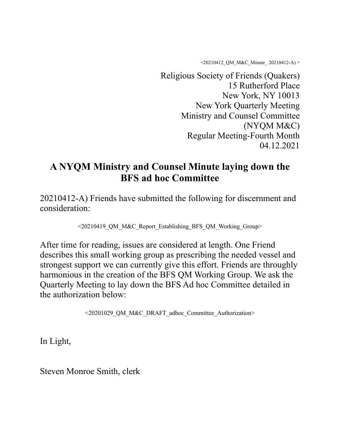<20210412\_QM\_M&C\_Minute\_ 20210412-A) >

Religious Society of Friends (Quakers) 15 Rutherford Place New York, NY 10013 New York Quarterly Meeting Ministry and Counsel Committee (NYQM M&C) Regular Meeting-Fourth Month 04.12.2021

# **A NYQM Ministry and Counsel Minute laying down the BFS ad hoc Committee**

20210412-A) Friends have submitted the following for discernment and consideration:

<20210419\_QM\_M&C\_Report\_Establishing\_BFS\_QM\_Working\_Group>

After time for reading, issues are considered at length. One Friend describes this small working group as prescribing the needed vessel and strongest support we can currently give this effort. Friends are throughly harmonious in the creation of the BFS QM Working Group. We ask the Quarterly Meeting to lay down the BFS Ad hoc Committee detailed in the authorization below:

<20201029\_QM\_M&C\_DRAFT\_adhoc\_Committee\_Authorization>

In Light,

Steven Monroe Smith, clerk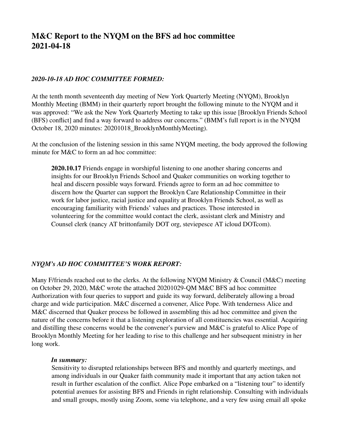# **M&C Report to the NYQM on the BFS ad hoc committee 2021-04-18**

## *2020-10-18 AD HOC COMMITTEE FORMED:*

At the tenth month seventeenth day meeting of New York Quarterly Meeting (NYQM), Brooklyn Monthly Meeting (BMM) in their quarterly report brought the following minute to the NYQM and it was approved: "We ask the New York Quarterly Meeting to take up this issue [Brooklyn Friends School (BFS) conflict] and find a way forward to address our concerns." (BMM's full report is in the NYQM October 18, 2020 minutes: 20201018\_BrooklynMonthlyMeeting).

At the conclusion of the listening session in this same NYQM meeting, the body approved the following minute for M&C to form an ad hoc committee:

**2020.10.17** Friends engage in worshipful listening to one another sharing concerns and insights for our Brooklyn Friends School and Quaker communities on working together to heal and discern possible ways forward. Friends agree to form an ad hoc committee to discern how the Quarter can support the Brooklyn Care Relationship Committee in their work for labor justice, racial justice and equality at Brooklyn Friends School, as well as encouraging familiarity with Friends' values and practices. Those interested in volunteering for the committee would contact the clerk, assistant clerk and Ministry and Counsel clerk (nancy AT brittonfamily DOT org, steviepesce AT icloud DOTcom).

# *NYQM's AD HOC COMMITTEE'S WORK REPORT:*

Many F/friends reached out to the clerks. At the following NYQM Ministry & Council (M&C) meeting on October 29, 2020, M&C wrote the attached 20201029-QM M&C BFS ad hoc committee Authorization with four queries to support and guide its way forward, deliberately allowing a broad charge and wide participation. M&C discerned a convener, Alice Pope. With tenderness Alice and M&C discerned that Quaker process be followed in assembling this ad hoc committee and given the nature of the concerns before it that a listening exploration of all constituencies was essential. Acquiring and distilling these concerns would be the convener's purview and M&C is grateful to Alice Pope of Brooklyn Monthly Meeting for her leading to rise to this challenge and her subsequent ministry in her long work.

#### *In summary:*

Sensitivity to disrupted relationships between BFS and monthly and quarterly meetings, and among individuals in our Quaker faith community made it important that any action taken not result in further escalation of the conflict. Alice Pope embarked on a "listening tour" to identify potential avenues for assisting BFS and Friends in right relationship. Consulting with individuals and small groups, mostly using Zoom, some via telephone, and a very few using email all spoke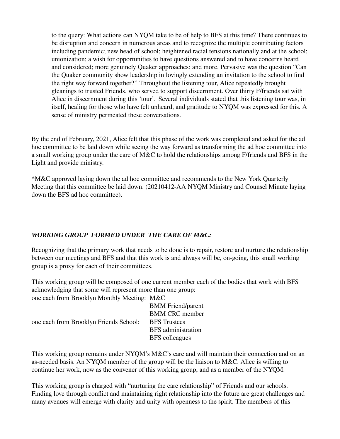to the query: What actions can NYQM take to be of help to BFS at this time? There continues to be disruption and concern in numerous areas and to recognize the multiple contributing factors including pandemic; new head of school; heightened racial tensions nationally and at the school; unionization; a wish for opportunities to have questions answered and to have concerns heard and considered; more genuinely Quaker approaches; and more. Pervasive was the question "Can the Quaker community show leadership in lovingly extending an invitation to the school to find the right way forward together?" Throughout the listening tour, Alice repeatedly brought gleanings to trusted Friends, who served to support discernment. Over thirty F/friends sat with Alice in discernment during this 'tour'. Several individuals stated that this listening tour was, in itself, healing for those who have felt unheard, and gratitude to NYQM was expressed for this. A sense of ministry permeated these conversations.

By the end of February, 2021, Alice felt that this phase of the work was completed and asked for the ad hoc committee to be laid down while seeing the way forward as transforming the ad hoc committee into a small working group under the care of M&C to hold the relationships among F/friends and BFS in the Light and provide ministry.

\*M&C approved laying down the ad hoc committee and recommends to the New York Quarterly Meeting that this committee be laid down. (20210412-AA NYQM Ministry and Counsel Minute laying down the BFS ad hoc committee).

# *WORKING GROUP FORMED UNDER THE CARE OF M&C:*

Recognizing that the primary work that needs to be done is to repair, restore and nurture the relationship between our meetings and BFS and that this work is and always will be, on-going, this small working group is a proxy for each of their committees.

This working group will be composed of one current member each of the bodies that work with BFS acknowledging that some will represent more than one group: one each from Brooklyn Monthly Meeting: M&C

| one each from Brooklyn Friends School: | <b>BMM</b> Friend/parent  |
|----------------------------------------|---------------------------|
|                                        | <b>BMM CRC</b> member     |
|                                        | <b>BFS</b> Trustees       |
|                                        | <b>BFS</b> administration |
|                                        | <b>BFS</b> colleagues     |
|                                        |                           |

This working group remains under NYQM's M&C's care and will maintain their connection and on an as-needed basis. An NYQM member of the group will be the liaison to M&C. Alice is willing to continue her work, now as the convener of this working group, and as a member of the NYQM.

This working group is charged with "nurturing the care relationship" of Friends and our schools. Finding love through conflict and maintaining right relationship into the future are great challenges and many avenues will emerge with clarity and unity with openness to the spirit. The members of this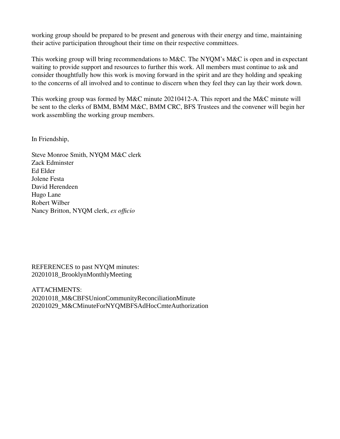working group should be prepared to be present and generous with their energy and time, maintaining their active participation throughout their time on their respective committees.

This working group will bring recommendations to M&C. The NYQM's M&C is open and in expectant waiting to provide support and resources to further this work. All members must continue to ask and consider thoughtfully how this work is moving forward in the spirit and are they holding and speaking to the concerns of all involved and to continue to discern when they feel they can lay their work down.

This working group was formed by M&C minute 20210412-A. This report and the M&C minute will be sent to the clerks of BMM, BMM M&C, BMM CRC, BFS Trustees and the convener will begin her work assembling the working group members.

In Friendship,

Steve Monroe Smith, NYQM M&C clerk Zack Edminster Ed Elder Jolene Festa David Herendeen Hugo Lane Robert Wilber Nancy Britton, NYQM clerk, *ex officio*

REFERENCES to past NYQM minutes: 20201018\_BrooklynMonthlyMeeting

ATTACHMENTS: 20201018\_M&CBFSUnionCommunityReconciliationMinute 20201029\_M&CMinuteForNYQMBFSAdHocCmteAuthorization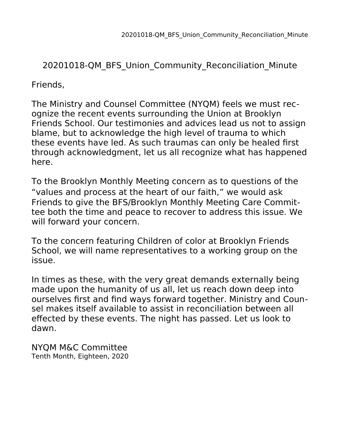# 20201018-QM\_BFS\_Union\_Community\_Reconciliation\_Minute

Friends,

The Ministry and Counsel Committee (NYQM) feels we must recognize the recent events surrounding the Union at Brooklyn Friends School. Our testimonies and advices lead us not to assign blame, but to acknowledge the high level of trauma to which these events have led. As such traumas can only be healed first through acknowledgment, let us all recognize what has happened here.

To the Brooklyn Monthly Meeting concern as to questions of the "values and process at the heart of our faith," we would ask Friends to give the BFS/Brooklyn Monthly Meeting Care Committee both the time and peace to recover to address this issue. We will forward your concern.

To the concern featuring Children of color at Brooklyn Friends School, we will name representatives to a working group on the issue.

In times as these, with the very great demands externally being made upon the humanity of us all, let us reach down deep into ourselves first and find ways forward together. Ministry and Counsel makes itself available to assist in reconciliation between all effected by these events. The night has passed. Let us look to dawn.

NYQM M&C Committee Tenth Month, Eighteen, 2020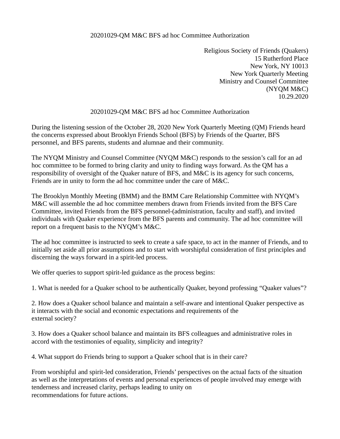### 20201029-QM M&C BFS ad hoc Committee Authorization

Religious Society of Friends (Quakers) 15 Rutherford Place New York, NY 10013 New York Quarterly Meeting Ministry and Counsel Committee (NYQM M&C) 10.29.2020

# 20201029-QM M&C BFS ad hoc Committee Authorization

During the listening session of the October 28, 2020 New York Quarterly Meeting (QM) Friends heard the concerns expressed about Brooklyn Friends School (BFS) by Friends of the Quarter, BFS personnel, and BFS parents, students and alumnae and their community.

The NYQM Ministry and Counsel Committee (NYQM M&C) responds to the session's call for an ad hoc committee to be formed to bring clarity and unity to finding ways forward. As the QM has a responsibility of oversight of the Quaker nature of BFS, and M&C is its agency for such concerns, Friends are in unity to form the ad hoc committee under the care of M&C.

The Brooklyn Monthly Meeting (BMM) and the BMM Care Relationship Committee with NYQM's M&C will assemble the ad hoc committee members drawn from Friends invited from the BFS Care Committee, invited Friends from the BFS personnel-(administration, faculty and staff), and invited individuals with Quaker experience from the BFS parents and community. The ad hoc committee will report on a frequent basis to the NYQM's M&C.

The ad hoc committee is instructed to seek to create a safe space, to act in the manner of Friends, and to initially set aside all prior assumptions and to start with worshipful consideration of first principles and discerning the ways forward in a spirit-led process.

We offer queries to support spirit-led guidance as the process begins:

1. What is needed for a Quaker school to be authentically Quaker, beyond professing "Quaker values"?

2. How does a Quaker school balance and maintain a self-aware and intentional Quaker perspective as it interacts with the social and economic expectations and requirements of the external society?

3. How does a Quaker school balance and maintain its BFS colleagues and administrative roles in accord with the testimonies of equality, simplicity and integrity?

4. What support do Friends bring to support a Quaker school that is in their care?

From worshipful and spirit-led consideration, Friends' perspectives on the actual facts of the situation as well as the interpretations of events and personal experiences of people involved may emerge with tenderness and increased clarity, perhaps leading to unity on recommendations for future actions.